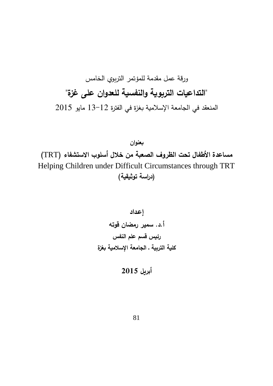## ورقة عمل مقدمة للمؤتمر التربوي الخامس **"التداعيات التربوية والنفسية للعدوان على غزة"**  المنعقد في الجامعة اإلسالمية بغزة في الفترة 13-12 مايو 2015

**بعنوان مساعدة األطفال تحت الظروف الصعبة من خالل أسلوب االستشفاء )**TRT**)** Helping Children under Difficult Circumstances through TRT **)دراسة توثيقية(**

**إعـداد أ.د. سمير رمضان قوته رئيس قسم علم النفس كلية التربية ـ الجامعة اإلسالمية بغزة**

$$
2015
$$
أبريل